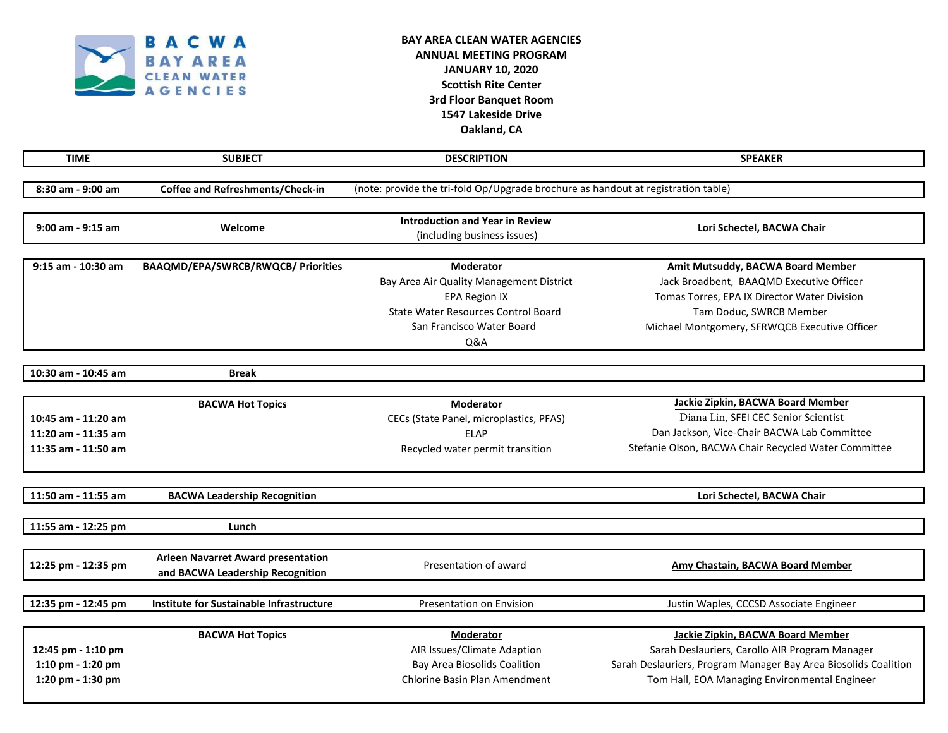

## **BAY AREA CLEAN WATER AGENCIES ANNUAL MEETING PROGRAM JANUARY 10, 2020 Scottish Rite Center 3rd Floor Banquet Room 1547 Lakeside Drive Oakland, CA**

| <b>TIME</b>                                                       | <b>SUBJECT</b>                                                                | <b>DESCRIPTION</b>                                                                                                                                                         | <b>SPEAKER</b>                                                                                                                                                                                                   |  |
|-------------------------------------------------------------------|-------------------------------------------------------------------------------|----------------------------------------------------------------------------------------------------------------------------------------------------------------------------|------------------------------------------------------------------------------------------------------------------------------------------------------------------------------------------------------------------|--|
| 8:30 am - 9:00 am                                                 | Coffee and Refreshments/Check-in                                              | (note: provide the tri-fold Op/Upgrade brochure as handout at registration table)                                                                                          |                                                                                                                                                                                                                  |  |
| 9:00 am - 9:15 am                                                 | Welcome                                                                       | <b>Introduction and Year in Review</b><br>(including business issues)                                                                                                      | Lori Schectel, BACWA Chair                                                                                                                                                                                       |  |
| 9:15 am - 10:30 am                                                | <b>BAAQMD/EPA/SWRCB/RWQCB/ Priorities</b>                                     | Moderator<br>Bay Area Air Quality Management District<br><b>EPA Region IX</b><br><b>State Water Resources Control Board</b><br>San Francisco Water Board<br><b>Q&amp;A</b> | <b>Amit Mutsuddy, BACWA Board Member</b><br>Jack Broadbent, BAAQMD Executive Officer<br>Tomas Torres, EPA IX Director Water Division<br>Tam Doduc, SWRCB Member<br>Michael Montgomery, SFRWQCB Executive Officer |  |
| 10:30 am - 10:45 am                                               | <b>Break</b>                                                                  |                                                                                                                                                                            |                                                                                                                                                                                                                  |  |
| 10:45 am - 11:20 am<br>11:20 am - 11:35 am<br>11:35 am - 11:50 am | <b>BACWA Hot Topics</b>                                                       | Moderator<br>CECs (State Panel, microplastics, PFAS)<br><b>ELAP</b><br>Recycled water permit transition                                                                    | Jackie Zipkin, BACWA Board Member<br>Diana Lin, SFEI CEC Senior Scientist<br>Dan Jackson, Vice-Chair BACWA Lab Committee<br>Stefanie Olson, BACWA Chair Recycled Water Committee                                 |  |
| 11:50 am - 11:55 am                                               | <b>BACWA Leadership Recognition</b>                                           |                                                                                                                                                                            | Lori Schectel, BACWA Chair                                                                                                                                                                                       |  |
| 11:55 am - 12:25 pm                                               | Lunch                                                                         |                                                                                                                                                                            |                                                                                                                                                                                                                  |  |
| 12:25 pm - 12:35 pm                                               | <b>Arleen Navarret Award presentation</b><br>and BACWA Leadership Recognition | Presentation of award                                                                                                                                                      | <b>Amy Chastain, BACWA Board Member</b>                                                                                                                                                                          |  |
| 12:35 pm - 12:45 pm                                               | Institute for Sustainable Infrastructure                                      | Presentation on Envision                                                                                                                                                   | Justin Waples, CCCSD Associate Engineer                                                                                                                                                                          |  |
| 12:45 pm - 1:10 pm<br>1:10 pm - 1:20 pm<br>1:20 pm - 1:30 pm      | <b>BACWA Hot Topics</b>                                                       | Moderator<br>AIR Issues/Climate Adaption<br><b>Bay Area Biosolids Coalition</b><br>Chlorine Basin Plan Amendment                                                           | Jackie Zipkin, BACWA Board Member<br>Sarah Deslauriers, Carollo AIR Program Manager<br>Sarah Deslauriers, Program Manager Bay Area Biosolids Coalition<br>Tom Hall, EOA Managing Environmental Engineer          |  |